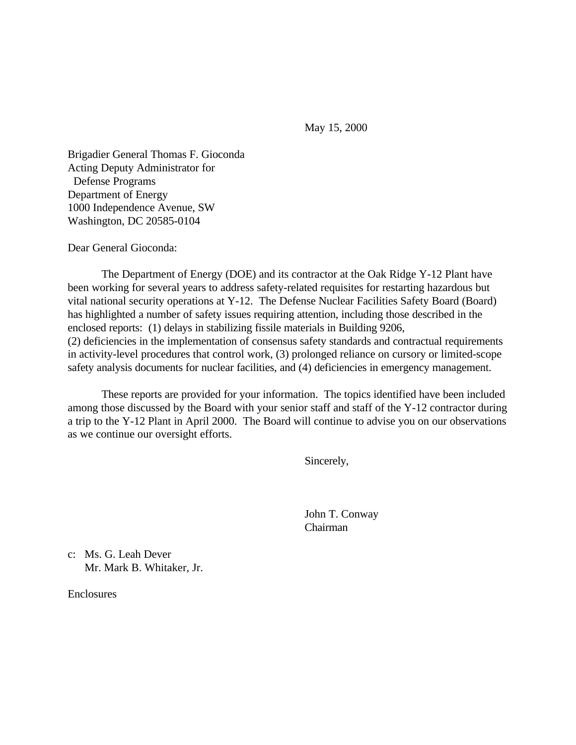May 15, 2000

Brigadier General Thomas F. Gioconda Acting Deputy Administrator for Defense Programs Department of Energy 1000 Independence Avenue, SW Washington, DC 20585-0104

Dear General Gioconda:

The Department of Energy (DOE) and its contractor at the Oak Ridge Y-12 Plant have been working for several years to address safety-related requisites for restarting hazardous but vital national security operations at Y-12. The Defense Nuclear Facilities Safety Board (Board) has highlighted a number of safety issues requiring attention, including those described in the enclosed reports: (1) delays in stabilizing fissile materials in Building 9206, (2) deficiencies in the implementation of consensus safety standards and contractual requirements in activity-level procedures that control work, (3) prolonged reliance on cursory or limited-scope safety analysis documents for nuclear facilities, and (4) deficiencies in emergency management.

These reports are provided for your information. The topics identified have been included among those discussed by the Board with your senior staff and staff of the Y-12 contractor during a trip to the Y-12 Plant in April 2000. The Board will continue to advise you on our observations as we continue our oversight efforts.

Sincerely,

John T. Conway Chairman

c: Ms. G. Leah Dever Mr. Mark B. Whitaker, Jr.

**Enclosures**